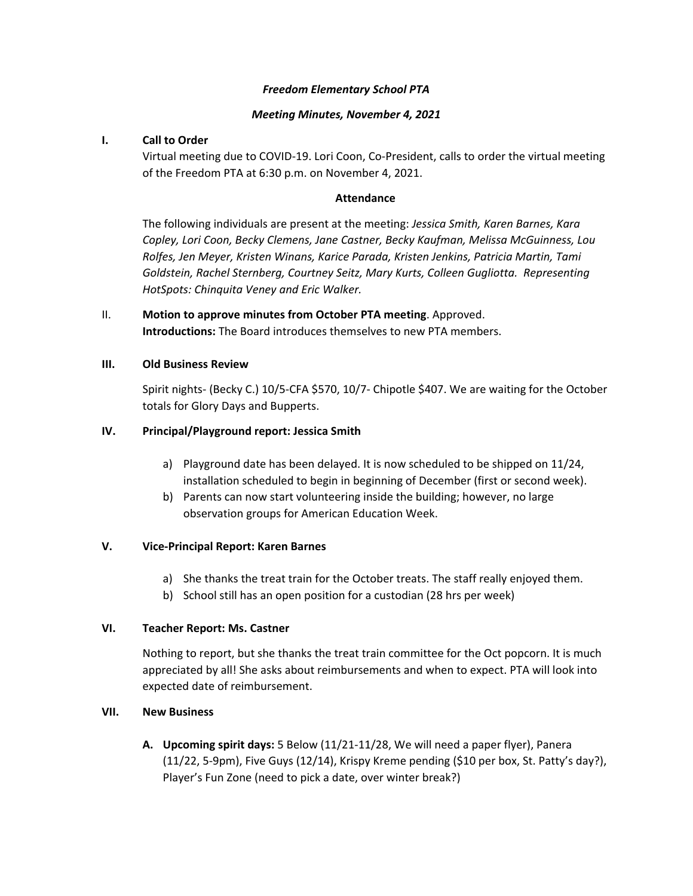# *Freedom Elementary School PTA*

# *Meeting Minutes, November 4, 2021*

# **I. Call to Order**

Virtual meeting due to COVID‐19. Lori Coon, Co‐President, calls to order the virtual meeting of the Freedom PTA at 6:30 p.m. on November 4, 2021.

# **Attendance**

The following individuals are present at the meeting: *Jessica Smith, Karen Barnes, Kara Copley, Lori Coon, Becky Clemens, Jane Castner, Becky Kaufman, Melissa McGuinness, Lou Rolfes, Jen Meyer, Kristen Winans, Karice Parada, Kristen Jenkins, Patricia Martin, Tami Goldstein, Rachel Sternberg, Courtney Seitz, Mary Kurts, Colleen Gugliotta. Representing HotSpots: Chinquita Veney and Eric Walker.* 

II. **Motion to approve minutes from October PTA meeting**. Approved. **Introductions:** The Board introduces themselves to new PTA members.

#### **III. Old Business Review**

Spirit nights‐ (Becky C.) 10/5‐CFA \$570, 10/7‐ Chipotle \$407. We are waiting for the October totals for Glory Days and Bupperts.

# **IV. Principal/Playground report: Jessica Smith**

- a) Playground date has been delayed. It is now scheduled to be shipped on 11/24, installation scheduled to begin in beginning of December (first or second week).
- b) Parents can now start volunteering inside the building; however, no large observation groups for American Education Week.

#### **V. Vice‐Principal Report: Karen Barnes**

- a) She thanks the treat train for the October treats. The staff really enjoyed them.
- b) School still has an open position for a custodian (28 hrs per week)

#### **VI. Teacher Report: Ms. Castner**

Nothing to report, but she thanks the treat train committee for the Oct popcorn. It is much appreciated by all! She asks about reimbursements and when to expect. PTA will look into expected date of reimbursement.

#### **VII. New Business**

**A. Upcoming spirit days:** 5 Below (11/21‐11/28, We will need a paper flyer), Panera  $(11/22, 5.9 \text{pm})$ , Five Guys  $(12/14)$ , Krispy Kreme pending  $(510 \text{ per box}, St.$  Patty's day?), Player's Fun Zone (need to pick a date, over winter break?)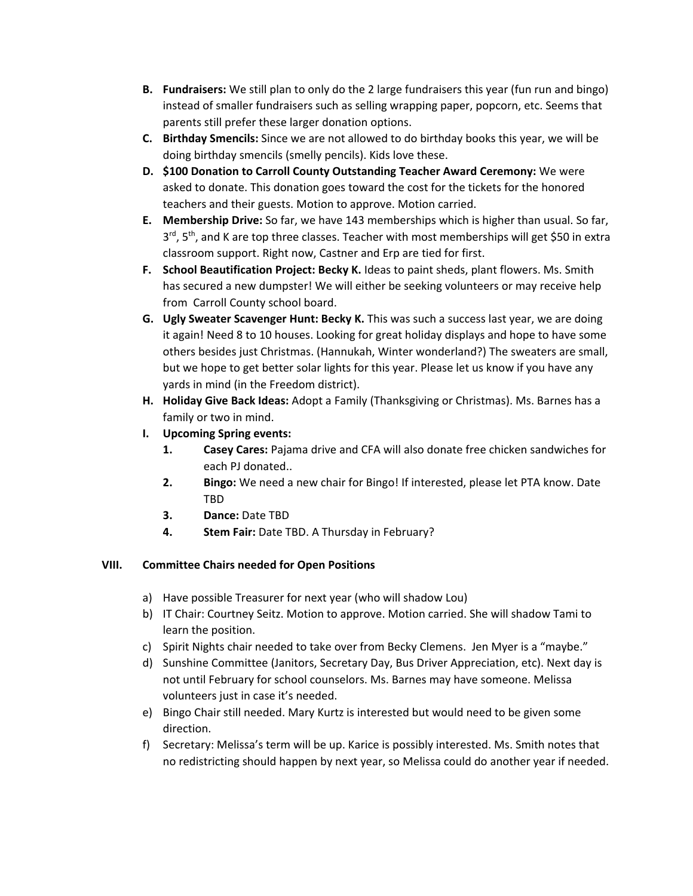- **B. Fundraisers:** We still plan to only do the 2 large fundraisers this year (fun run and bingo) instead of smaller fundraisers such as selling wrapping paper, popcorn, etc. Seems that parents still prefer these larger donation options.
- **C. Birthday Smencils:** Since we are not allowed to do birthday books this year, we will be doing birthday smencils (smelly pencils). Kids love these.
- **D. \$100 Donation to Carroll County Outstanding Teacher Award Ceremony:** We were asked to donate. This donation goes toward the cost for the tickets for the honored teachers and their guests. Motion to approve. Motion carried.
- **E. Membership Drive:** So far, we have 143 memberships which is higher than usual. So far,  $3<sup>rd</sup>$ , 5<sup>th</sup>, and K are top three classes. Teacher with most memberships will get \$50 in extra classroom support. Right now, Castner and Erp are tied for first.
- **F. School Beautification Project: Becky K.** Ideas to paint sheds, plant flowers. Ms. Smith has secured a new dumpster! We will either be seeking volunteers or may receive help from Carroll County school board.
- **G. Ugly Sweater Scavenger Hunt: Becky K.** This was such a success last year, we are doing it again! Need 8 to 10 houses. Looking for great holiday displays and hope to have some others besides just Christmas. (Hannukah, Winter wonderland?) The sweaters are small, but we hope to get better solar lights for this year. Please let us know if you have any yards in mind (in the Freedom district).
- **H. Holiday Give Back Ideas:** Adopt a Family (Thanksgiving or Christmas). Ms. Barnes has a family or two in mind.
- **I. Upcoming Spring events:**
	- **1. Casey Cares:** Pajama drive and CFA will also donate free chicken sandwiches for each PJ donated..
	- **2. Bingo:** We need a new chair for Bingo! If interested, please let PTA know. Date TBD
	- **3. Dance:** Date TBD
	- **4. Stem Fair:** Date TBD. A Thursday in February?

# **VIII. Committee Chairs needed for Open Positions**

- a) Have possible Treasurer for next year (who will shadow Lou)
- b) IT Chair: Courtney Seitz. Motion to approve. Motion carried. She will shadow Tami to learn the position.
- c) Spirit Nights chair needed to take over from Becky Clemens. Jen Myer is a "maybe."
- d) Sunshine Committee (Janitors, Secretary Day, Bus Driver Appreciation, etc). Next day is not until February for school counselors. Ms. Barnes may have someone. Melissa volunteers just in case it's needed.
- e) Bingo Chair still needed. Mary Kurtz is interested but would need to be given some direction.
- f) Secretary: Melissa's term will be up. Karice is possibly interested. Ms. Smith notes that no redistricting should happen by next year, so Melissa could do another year if needed.